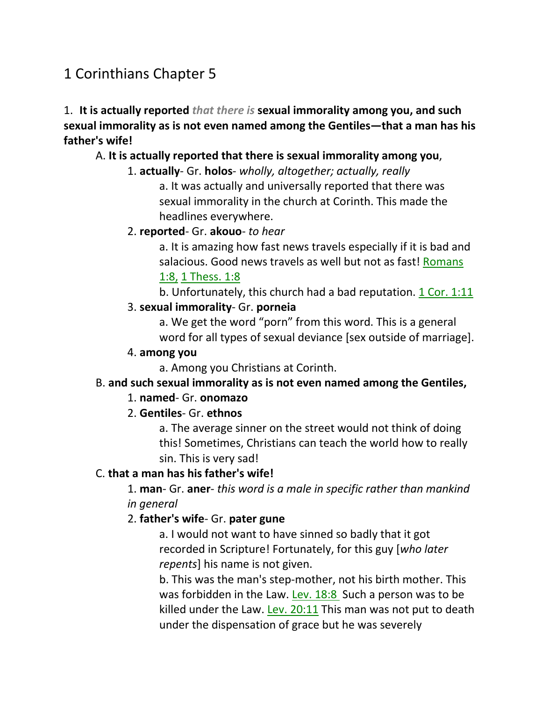# 1 Corinthians Chapter 5

1. **It is actually reported** *that there is* **sexual immorality among you, and such sexual immorality as is not even named among the Gentiles—that a man has his father's wife!** 

# A. **It is actually reported that there is sexual immorality among you**,

- 1. **actually** Gr. **holos** *wholly, altogether; actually, really* a. It was actually and universally reported that there was sexual immorality in the church at Corinth. This made the headlines everywhere.
- 2. **reported** Gr. **akouo** *to hear*

a. It is amazing how fast news travels especially if it is bad and salacious. Good news travels as well but not as fast! Romans 1:8, 1 Thess. 1:8

b. Unfortunately, this church had a bad reputation.  $1$  Cor.  $1:11$ 

### 3. **sexual immorality**- Gr. **porneia**

a. We get the word "porn" from this word. This is a general word for all types of sexual deviance [sex outside of marriage].

### 4. **among you**

a. Among you Christians at Corinth.

# B. **and such sexual immorality as is not even named among the Gentiles,**

# 1. **named**- Gr. **onomazo**

# 2. **Gentiles**- Gr. **ethnos**

a. The average sinner on the street would not think of doing this! Sometimes, Christians can teach the world how to really sin. This is very sad!

# C. **that a man has his father's wife!**

1. **man**- Gr. **aner**- *this word is a male in specific rather than mankind in general*

# 2. **father's wife**- Gr. **pater gune**

a. I would not want to have sinned so badly that it got recorded in Scripture! Fortunately, for this guy [*who later repents*] his name is not given.

b. This was the man's step-mother, not his birth mother. This was forbidden in the Law. Lev. 18:8 Such a person was to be killed under the Law. Lev. 20:11 This man was not put to death under the dispensation of grace but he was severely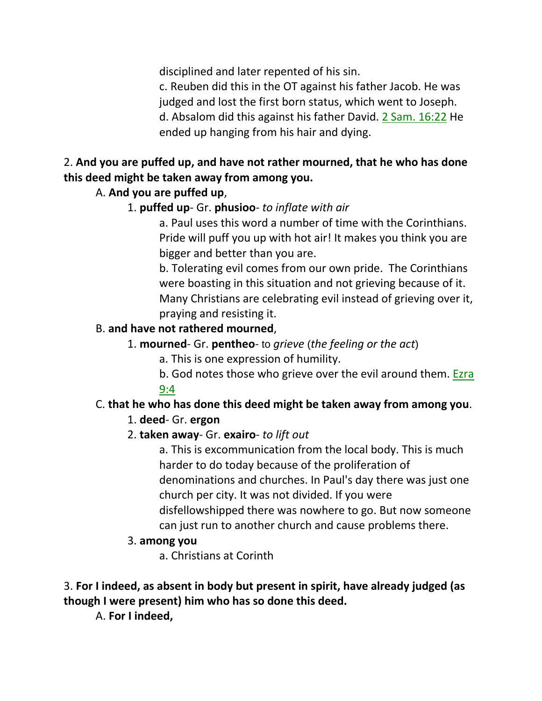disciplined and later repented of his sin.

c. Reuben did this in the OT against his father Jacob. He was judged and lost the first born status, which went to Joseph. d. Absalom did this against his father David. 2 Sam. 16:22 He ended up hanging from his hair and dying.

# 2. **And you are puffed up, and have not rather mourned, that he who has done this deed might be taken away from among you.**

# A. **And you are puffed up**,

1. **puffed up**- Gr. **phusioo**- *to inflate with air*

a. Paul uses this word a number of time with the Corinthians. Pride will puff you up with hot air! It makes you think you are bigger and better than you are.

b. Tolerating evil comes from our own pride. The Corinthians were boasting in this situation and not grieving because of it. Many Christians are celebrating evil instead of grieving over it, praying and resisting it.

# B. **and have not rathered mourned**,

- 1. **mourned** Gr. **pentheo** to *grieve* (*the feeling or the act*)
	- a. This is one expression of humility.
	- b. God notes those who grieve over the evil around them. Ezra 9:4

# C. **that he who has done this deed might be taken away from among you**.

# 1. **deed**- Gr. **ergon**

2. **taken away**- Gr. **exairo**- *to lift out*

a. This is excommunication from the local body. This is much harder to do today because of the proliferation of denominations and churches. In Paul's day there was just one church per city. It was not divided. If you were disfellowshipped there was nowhere to go. But now someone can just run to another church and cause problems there.

# 3. **among you**

a. Christians at Corinth

# 3. **For I indeed, as absent in body but present in spirit, have already judged (as though I were present) him who has so done this deed.**

A. **For I indeed,**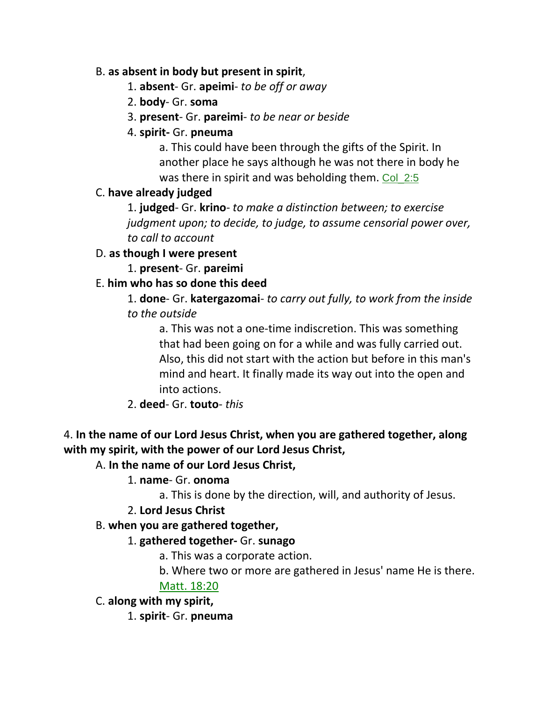#### B. **as absent in body but present in spirit**,

- 1. **absent** Gr. **apeimi** *to be off or away*
- 2. **body** Gr. **soma**
- 3. **present** Gr. **pareimi** *to be near or beside*
- 4. **spirit-** Gr. **pneuma**

a. This could have been through the gifts of the Spirit. In another place he says although he was not there in body he was there in spirit and was beholding them. Col 2:5

# C. **have already judged**

1. **judged**- Gr. **krino**- *to make a distinction between; to exercise judgment upon; to decide, to judge, to assume censorial power over, to call to account*

# D. **as though I were present**

1. **present**- Gr. **pareimi**

# E. **him who has so done this deed**

1. **done**- Gr. **katergazomai**- *to carry out fully, to work from the inside to the outside*

a. This was not a one-time indiscretion. This was something that had been going on for a while and was fully carried out. Also, this did not start with the action but before in this man's mind and heart. It finally made its way out into the open and into actions.

# 2. **deed**- Gr. **touto**- *this*

# 4. **In the name of our Lord Jesus Christ, when you are gathered together, along with my spirit, with the power of our Lord Jesus Christ,**

# A. **In the name of our Lord Jesus Christ,**

# 1. **name**- Gr. **onoma**

a. This is done by the direction, will, and authority of Jesus.

# 2. **Lord Jesus Christ**

# B. **when you are gathered together,**

# 1. **gathered together-** Gr. **sunago**

a. This was a corporate action.

b. Where two or more are gathered in Jesus' name He is there.

# Matt. 18:20

C. **along with my spirit,**

1. **spirit**- Gr. **pneuma**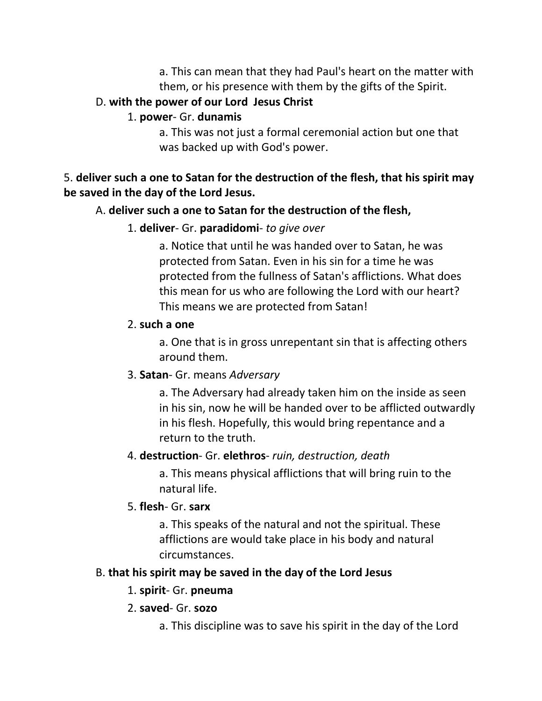a. This can mean that they had Paul's heart on the matter with them, or his presence with them by the gifts of the Spirit.

# D. **with the power of our Lord Jesus Christ**

# 1. **power**- Gr. **dunamis**

a. This was not just a formal ceremonial action but one that was backed up with God's power.

# 5. **deliver such a one to Satan for the destruction of the flesh, that his spirit may be saved in the day of the Lord Jesus.**

# A. **deliver such a one to Satan for the destruction of the flesh,**

# 1. **deliver**- Gr. **paradidomi**- *to give over*

a. Notice that until he was handed over to Satan, he was protected from Satan. Even in his sin for a time he was protected from the fullness of Satan's afflictions. What does this mean for us who are following the Lord with our heart? This means we are protected from Satan!

# 2. **such a one**

a. One that is in gross unrepentant sin that is affecting others around them.

# 3. **Satan**- Gr. means *Adversary*

a. The Adversary had already taken him on the inside as seen in his sin, now he will be handed over to be afflicted outwardly in his flesh. Hopefully, this would bring repentance and a return to the truth.

# 4. **destruction**- Gr. **elethros**- *ruin, destruction, death*

a. This means physical afflictions that will bring ruin to the natural life.

# 5. **flesh**- Gr. **sarx**

a. This speaks of the natural and not the spiritual. These afflictions are would take place in his body and natural circumstances.

# B. **that his spirit may be saved in the day of the Lord Jesus**

# 1. **spirit**- Gr. **pneuma**

# 2. **saved**- Gr. **sozo**

a. This discipline was to save his spirit in the day of the Lord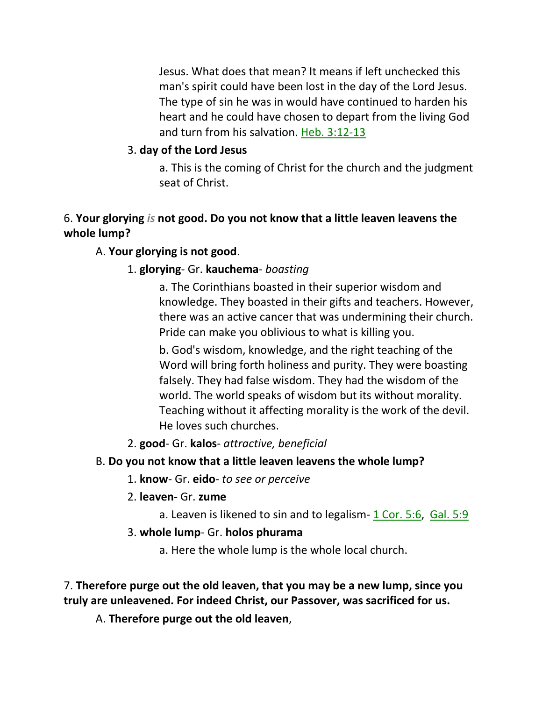Jesus. What does that mean? It means if left unchecked this man's spirit could have been lost in the day of the Lord Jesus. The type of sin he was in would have continued to harden his heart and he could have chosen to depart from the living God and turn from his salvation. Heb. 3:12-13

# 3. **day of the Lord Jesus**

a. This is the coming of Christ for the church and the judgment seat of Christ.

# 6. **Your glorying** *is* **not good. Do you not know that a little leaven leavens the whole lump?**

# A. **Your glorying is not good**.

# 1. **glorying**- Gr. **kauchema**- *boasting*

a. The Corinthians boasted in their superior wisdom and knowledge. They boasted in their gifts and teachers. However, there was an active cancer that was undermining their church. Pride can make you oblivious to what is killing you.

b. God's wisdom, knowledge, and the right teaching of the Word will bring forth holiness and purity. They were boasting falsely. They had false wisdom. They had the wisdom of the world. The world speaks of wisdom but its without morality. Teaching without it affecting morality is the work of the devil. He loves such churches.

2. **good**- Gr. **kalos**- *attractive, beneficial*

# B. **Do you not know that a little leaven leavens the whole lump?**

- 1. **know** Gr. **eido** *to see or perceive*
- 2. **leaven** Gr. **zume**
	- a. Leaven is likened to sin and to legalism-  $1$  Cor. 5:6, Gal. 5:9
- 3. **whole lump** Gr. **holos phurama**
	- a. Here the whole lump is the whole local church.

7. **Therefore purge out the old leaven, that you may be a new lump, since you truly are unleavened. For indeed Christ, our Passover, was sacrificed for us.** 

A. **Therefore purge out the old leaven**,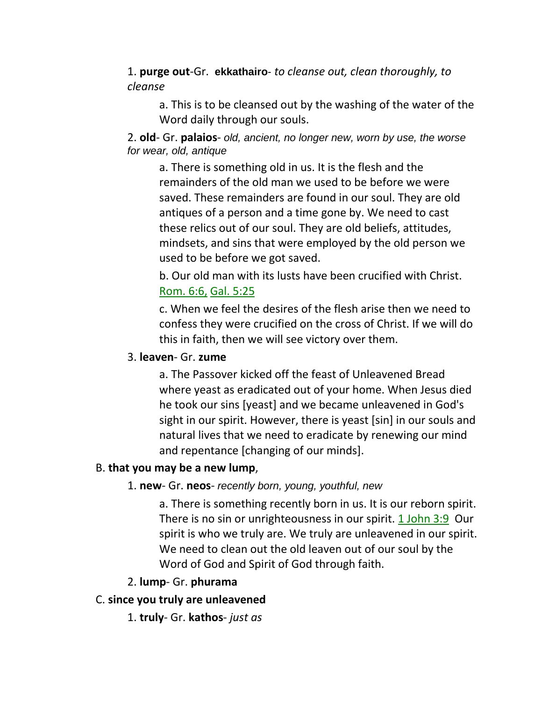1. **purge out**-Gr. **ekkathairo**- *to cleanse out, clean thoroughly, to cleanse*

a. This is to be cleansed out by the washing of the water of the Word daily through our souls.

#### 2. **old**- Gr. **palaios**- *old, ancient, no longer new, worn by use, the worse for wear, old, antique*

a. There is something old in us. It is the flesh and the remainders of the old man we used to be before we were saved. These remainders are found in our soul. They are old antiques of a person and a time gone by. We need to cast these relics out of our soul. They are old beliefs, attitudes, mindsets, and sins that were employed by the old person we used to be before we got saved.

b. Our old man with its lusts have been crucified with Christ. Rom. 6:6, Gal. 5:25

c. When we feel the desires of the flesh arise then we need to confess they were crucified on the cross of Christ. If we will do this in faith, then we will see victory over them.

#### 3. **leaven**- Gr. **zume**

a. The Passover kicked off the feast of Unleavened Bread where yeast as eradicated out of your home. When Jesus died he took our sins [yeast] and we became unleavened in God's sight in our spirit. However, there is yeast [sin] in our souls and natural lives that we need to eradicate by renewing our mind and repentance [changing of our minds].

#### B. **that you may be a new lump**,

#### 1. **new**- Gr. **neos**- *recently born, young, youthful, new*

a. There is something recently born in us. It is our reborn spirit. There is no sin or unrighteousness in our spirit. 1 John 3:9 Our spirit is who we truly are. We truly are unleavened in our spirit. We need to clean out the old leaven out of our soul by the Word of God and Spirit of God through faith.

#### 2. **lump**- Gr. **phurama**

#### C. **since you truly are unleavened**

1. **truly**- Gr. **kathos**- *just as*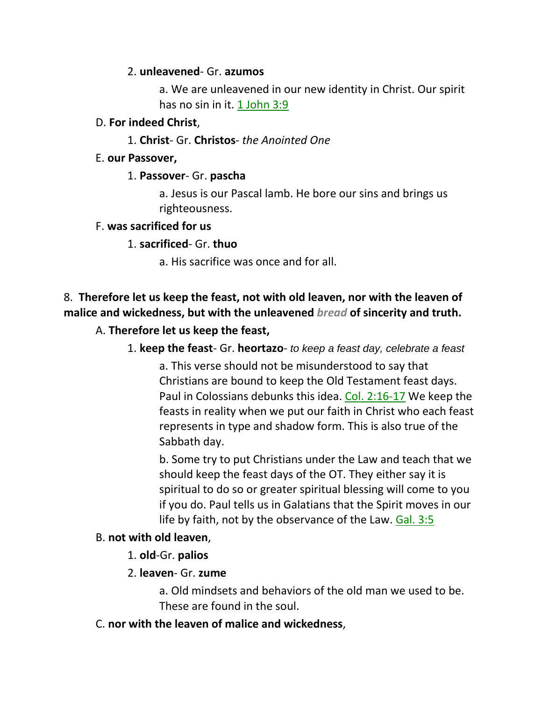#### 2. **unleavened**- Gr. **azumos**

a. We are unleavened in our new identity in Christ. Our spirit has no sin in it. 1 John 3:9

#### D. **For indeed Christ**,

1. **Christ**- Gr. **Christos**- *the Anointed One*

#### E. **our Passover,**

### 1. **Passover**- Gr. **pascha**

a. Jesus is our Pascal lamb. He bore our sins and brings us righteousness.

#### F. **was sacrificed for us**

### 1. **sacrificed**- Gr. **thuo**

a. His sacrifice was once and for all.

# 8. **Therefore let us keep the feast, not with old leaven, nor with the leaven of malice and wickedness, but with the unleavened** *bread* **of sincerity and truth.**

### A. **Therefore let us keep the feast,**

### 1. **keep the feast**- Gr. **heortazo**- *to keep a feast day, celebrate a feast*

a. This verse should not be misunderstood to say that Christians are bound to keep the Old Testament feast days. Paul in Colossians debunks this idea. Col. 2:16-17 We keep the feasts in reality when we put our faith in Christ who each feast represents in type and shadow form. This is also true of the Sabbath day.

b. Some try to put Christians under the Law and teach that we should keep the feast days of the OT. They either say it is spiritual to do so or greater spiritual blessing will come to you if you do. Paul tells us in Galatians that the Spirit moves in our life by faith, not by the observance of the Law. Gal. 3:5

#### B. **not with old leaven**,

#### 1. **old**-Gr. **palios**

#### 2. **leaven**- Gr. **zume**

a. Old mindsets and behaviors of the old man we used to be. These are found in the soul.

### C. **nor with the leaven of malice and wickedness**,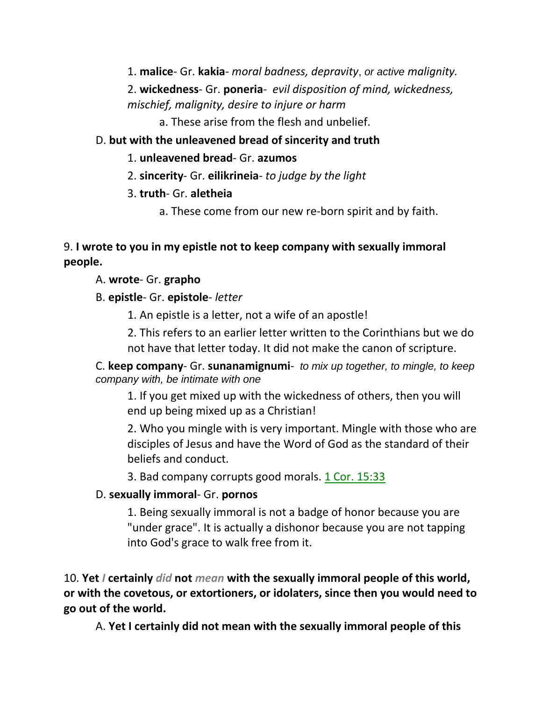1. **malice**- Gr. **kakia**- *moral badness, depravity*, *or active malignity.* 

2. **wickedness**- Gr. **poneria**- *evil disposition of mind, wickedness, mischief, malignity, desire to injure or harm*

a. These arise from the flesh and unbelief.

# D. **but with the unleavened bread of sincerity and truth**

- 1. **unleavened bread** Gr. **azumos**
- 2. **sincerity** Gr. **eilikrineia** *to judge by the light*
- 3. **truth** Gr. **aletheia**
	- a. These come from our new re-born spirit and by faith.

# 9. **I wrote to you in my epistle not to keep company with sexually immoral people.**

# A. **wrote**- Gr. **grapho**

B. **epistle**- Gr. **epistole**- *letter*

1. An epistle is a letter, not a wife of an apostle!

2. This refers to an earlier letter written to the Corinthians but we do not have that letter today. It did not make the canon of scripture.

C. **keep company**- Gr. **sunanamignumi**- *to mix up together, to mingle, to keep company with, be intimate with one*

1. If you get mixed up with the wickedness of others, then you will end up being mixed up as a Christian!

2. Who you mingle with is very important. Mingle with those who are disciples of Jesus and have the Word of God as the standard of their beliefs and conduct.

3. Bad company corrupts good morals. 1 Cor. 15:33

# D. **sexually immoral**- Gr. **pornos**

1. Being sexually immoral is not a badge of honor because you are "under grace". It is actually a dishonor because you are not tapping into God's grace to walk free from it.

10. **Yet** *I* **certainly** *did* **not** *mean* **with the sexually immoral people of this world, or with the covetous, or extortioners, or idolaters, since then you would need to go out of the world.** 

A. **Yet I certainly did not mean with the sexually immoral people of this**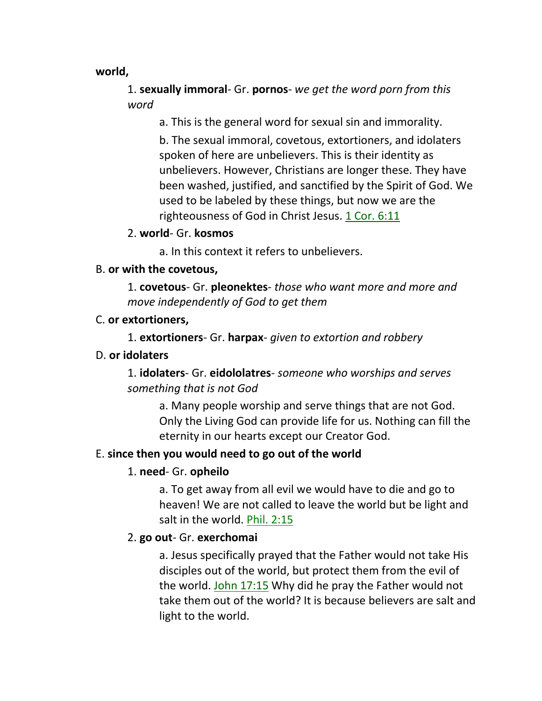**world,**

1. **sexually immoral**- Gr. **pornos**- *we get the word porn from this word*

a. This is the general word for sexual sin and immorality.

b. The sexual immoral, covetous, extortioners, and idolaters spoken of here are unbelievers. This is their identity as unbelievers. However, Christians are longer these. They have been washed, justified, and sanctified by the Spirit of God. We used to be labeled by these things, but now we are the righteousness of God in Christ Jesus. 1 Cor. 6:11

2. **world**- Gr. **kosmos**

a. In this context it refers to unbelievers.

#### B. **or with the covetous,**

1. **covetous**- Gr. **pleonektes**- *those who want more and more and move independently of God to get them*

#### C. **or extortioners,**

1. **extortioners**- Gr. **harpax**- *given to extortion and robbery*

#### D. **or idolaters**

1. **idolaters**- Gr. **eidololatres**- *someone who worships and serves something that is not God*

a. Many people worship and serve things that are not God. Only the Living God can provide life for us. Nothing can fill the eternity in our hearts except our Creator God.

#### E. **since then you would need to go out of the world**

# 1. **need**- Gr. **opheilo**

a. To get away from all evil we would have to die and go to heaven! We are not called to leave the world but be light and salt in the world. Phil. 2:15

# 2. **go out**- Gr. **exerchomai**

a. Jesus specifically prayed that the Father would not take His disciples out of the world, but protect them from the evil of the world. John 17:15 Why did he pray the Father would not take them out of the world? It is because believers are salt and light to the world.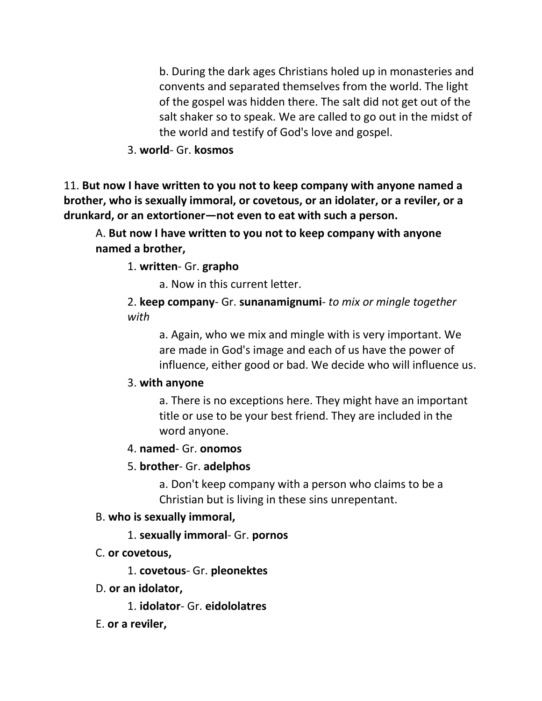b. During the dark ages Christians holed up in monasteries and convents and separated themselves from the world. The light of the gospel was hidden there. The salt did not get out of the salt shaker so to speak. We are called to go out in the midst of the world and testify of God's love and gospel.

#### 3. **world**- Gr. **kosmos**

11. **But now I have written to you not to keep company with anyone named a brother, who is sexually immoral, or covetous, or an idolater, or a reviler, or a drunkard, or an extortioner—not even to eat with such a person.** 

A. **But now I have written to you not to keep company with anyone named a brother,**

1. **written**- Gr. **grapho**

a. Now in this current letter.

2. **keep company**- Gr. **sunanamignumi**- *to mix or mingle together with*

a. Again, who we mix and mingle with is very important. We are made in God's image and each of us have the power of influence, either good or bad. We decide who will influence us.

#### 3. **with anyone**

a. There is no exceptions here. They might have an important title or use to be your best friend. They are included in the word anyone.

#### 4. **named**- Gr. **onomos**

#### 5. **brother**- Gr. **adelphos**

a. Don't keep company with a person who claims to be a Christian but is living in these sins unrepentant.

#### B. **who is sexually immoral,**

1. **sexually immoral**- Gr. **pornos**

#### C. **or covetous,**

1. **covetous**- Gr. **pleonektes**

D. **or an idolator,**

1. **idolator**- Gr. **eidololatres**

E. **or a reviler,**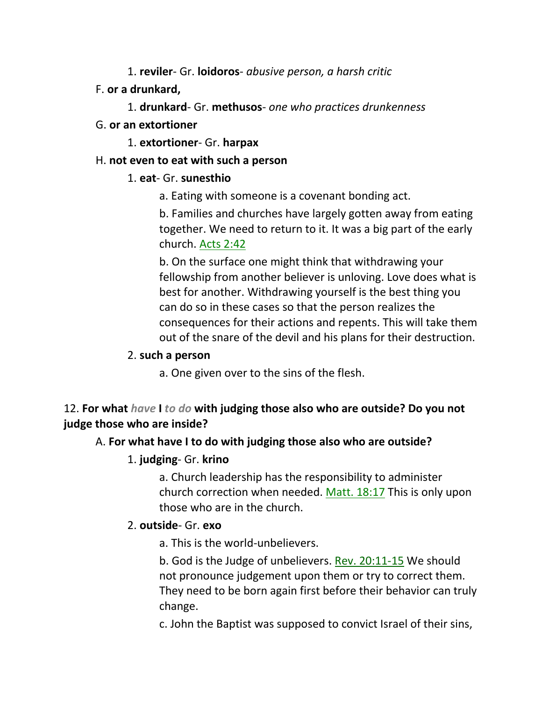1. **reviler**- Gr. **loidoros**- *abusive person, a harsh critic*

- F. **or a drunkard,**
	- 1. **drunkard** Gr. **methusos** *one who practices drunkenness*
- G. **or an extortioner**
	- 1. **extortioner** Gr. **harpax**

# H. **not even to eat with such a person**

# 1. **eat**- Gr. **sunesthio**

a. Eating with someone is a covenant bonding act.

b. Families and churches have largely gotten away from eating together. We need to return to it. It was a big part of the early church. Acts 2:42

b. On the surface one might think that withdrawing your fellowship from another believer is unloving. Love does what is best for another. Withdrawing yourself is the best thing you can do so in these cases so that the person realizes the consequences for their actions and repents. This will take them out of the snare of the devil and his plans for their destruction.

# 2. **such a person**

a. One given over to the sins of the flesh.

# 12. **For what** *have* **I** *to do* **with judging those also who are outside? Do you not judge those who are inside?**

# A. **For what have I to do with judging those also who are outside?**

# 1. **judging**- Gr. **krino**

a. Church leadership has the responsibility to administer church correction when needed. Matt. 18:17 This is only upon those who are in the church.

# 2. **outside**- Gr. **exo**

a. This is the world-unbelievers.

b. God is the Judge of unbelievers. Rev. 20:11-15 We should not pronounce judgement upon them or try to correct them. They need to be born again first before their behavior can truly change.

c. John the Baptist was supposed to convict Israel of their sins,